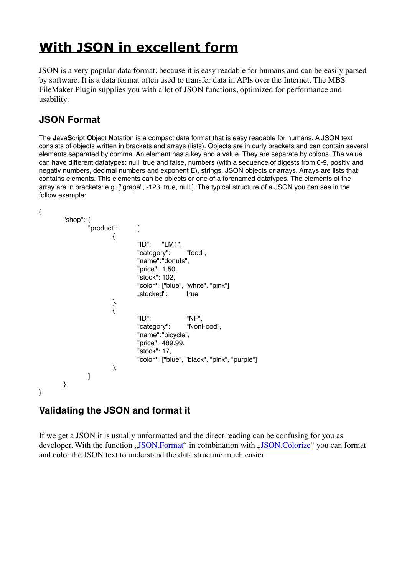# **[With JSON in excellent form](https://www.mbs-plugins.com/archive/2019-11-16/With_JSON_in_excellent_form/monkeybreadsoftware_blog_filemaker)**

JSON is a very popular data format, because it is easy readable for humans and can be easily parsed by software. It is a data format often used to transfer data in APIs over the Internet. The MBS FileMaker Plugin supplies you with a lot of JSON functions, optimized for performance and usability.

# **JSON Format**

The **J**ava**S**cript **O**bject **N**otation is a compact data format that is easy readable for humans. A JSON text consists of objects written in brackets and arrays (lists). Objects are in curly brackets and can contain several elements separated by comma. An element has a key and a value. They are separate by colons. The value can have different datatypes: null, true and false, numbers (with a sequence of digests from 0-9, positiv and negativ numbers, decimal numbers and exponent E), strings, JSON objects or arrays. Arrays are lists that contains elements. This elements can be objects or one of a forenamed datatypes. The elements of the array are in brackets: e.g. ["grape", -123, true, null ]. The typical structure of a JSON you can see in the follow example:

```
{
```

```
"shop": {
                "product": [
                        {
                                "ID": "LM1",
                                "category": "food",
                                "name":"donuts",
                                "price": 1.50,
                                "stock": 102,
                                "color": ["blue", "white", "pink"]
                                .stocked": true
                        },
                        \tilde{f}"ID": "NF",
                                "category": "NonFood",
                                "name":"bicycle",
                                "price": 489.99,
                                "stock": 17,
                                "color": ["blue", "black", "pink", "purple"]
                        },
               ]
        }
}
```
# **Validating the JSON and format it**

If we get a JSON it is usually unformatted and the direct reading can be confusing for you as developer. With the function "[JSON.Format](http://www.mbsplugins.eu/JSONFormat.shtml)" in combination with ["JSON.Colorize](https://www.mbsplugins.eu/JSONColorize.shtml)" you can format and color the JSON text to understand the data structure much easier.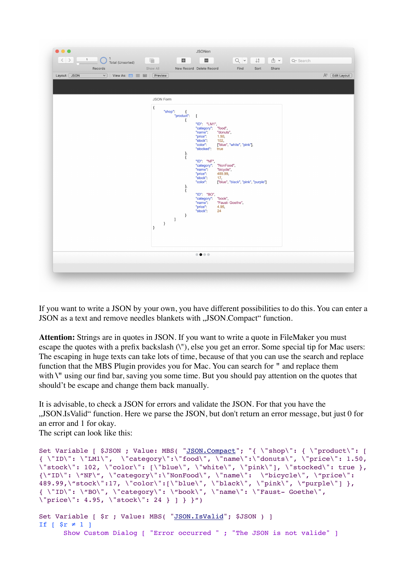

If you want to write a JSON by your own, you have different possibilities to do this. You can enter a JSON as a text and remove needles blankets with "JSON.Compact" function.

**Attention:** Strings are in quotes in JSON. If you want to write a quote in FileMaker you must escape the quotes with a prefix backslash (\"), else you get an error. Some special tip for Mac users: The escaping in huge texts can take lots of time, because of that you can use the search and replace function that the MBS Plugin provides you for Mac. You can search for **"** and replace them with **\"** using our find bar, saving you some time. But you should pay attention on the quotes that should't be escape and change them back manually.

It is advisable, to check a JSON for errors and validate the JSON. For that you have the "JSON.IsValid" function. Here we parse the JSON, but don't return an error message, but just 0 for an error and 1 for okay.

The script can look like this:

```
"JSON.Compact"; "{ \"shop\": { \"product\": [
{ \"ID\": \"LM1\",  \"category\":\"food\", \"name\":\"donuts\", \"price\": 1.50, 
\"stock\": 102, \"color\": [\"blue\", \"white\", \"pink\"], \"stocked\": true },
{\\Psi: \ \Psi: \ \Psi \}': \ \Psi \, \"category\":\"NonFood\", \"name\": \"bicycle\", \"price\":
489.99, \text{Ystock}":17, \text{color}:\text{[Yblue}\, \text{Vblack}\, \text{Vblack}\, \text{Vspunk}\, \text{Vspurple}\, \text{J},{ \"ID\": \"BO\", \"category\": \"book\", \"name\": \"Faust- Goethe\",
\"price\": 4.95, \"stock\": 24 } ] } }")
"JSON.IsValid"; $JSON ) ]
If \lceil $r \neq 1 ]
      Show Custom Dialog [ "Error occurred " ; "The JSON is not valide" ]
```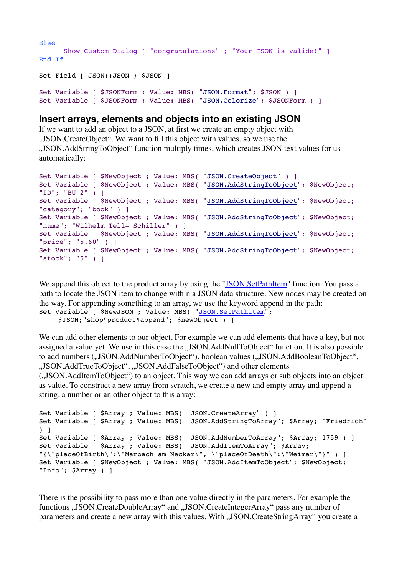```
Else
   Show Custom Dialog [ "congratulations" ; "Your JSON is valide!" ]
End If
Set Field [ JSON::JSON ; $JSON ]
"JSON.Format"; $JSON ) ]
"JSON.Colorize"; $JSONForm ) ]
```
#### **Insert arrays, elements and objects into an existing JSON**

If we want to add an object to a JSON, at first we create an empty object with "JSON.CreateObject". We want to fill this object with values, so we use the "JSON.AddStringToObject" function multiply times, which creates JSON text values for us automatically:

```
"JSON.CreateObject" ) ]
"JSON.AddStringToObject"; $NewObject;
"ID"; "BU 2" ) ]
Set Variable [ $NewObject ; Value: MBS( "JSON.AddStringToObject"; $NewObject; 
"category"; "book" ) ]
Set Variable [ $NewObject ; Value: MBS( "JSON.AddStringToObject"; $NewObject; 
"name"; "Wilhelm Tell- Schiller" ) ]
Set Variable [ $NewObject ; Value: MBS( "JSON.AddStringToObject"; $NewObject; 
"price"; "5.60" ) ]
Set Variable [ $NewObject ; Value: MBS( "JSON.AddStringToObject"; $NewObject; 
"stock"; "5" ) ]
```
We append this object to the product array by using the "[JSON.SetPathItem](http://www.mbsplugins.eu/JSONSetPathItem.shtml)" function. You pass a path to locate the JSON item to change within a JSON data structure. New nodes may be created on the way. For appending something to an array, we use the keyword append in the path: Set Variable [ \$NewJSON ; Value: MBS( ["JSON.SetPathItem](http://www.mbsplugins.eu/JSONSetPathItem.shtml)";

\$JSON;"shop¶product¶append"; \$newObject ) ]

We can add other elements to our object. For example we can add elements that have a key, but not assigned a value yet. We use in this case the ...JSON.AddNullToObject" function. It is also possible to add numbers (,JSON.AddNumberToObject"), boolean values (,JSON.AddBooleanToObject", .JSON.AddTrueToObject", .JSON.AddFalseToObject") and other elements

("JSON.AddItemToObject") to an object. This way we can add arrays or sub objects into an object as value. To construct a new array from scratch, we create a new and empty array and append a string, a number or an other object to this array:

```
Set Variable [ $Array ; Value: MBS( "JSON.CreateArray" ) ]
Set Variable [ $Array ; Value: MBS( "JSON.AddStringToArray"; $Array; "Friedrich" 
) ]
Set Variable [ $Array ; Value: MBS( "JSON.AddNumberToArray"; $Array; 1759 ) ]
Set Variable [ $Array ; Value: MBS( "JSON.AddItemToArray"; $Array; 
"{\"placeOfBirth\":\"Marbach am Neckar\", \"placeOfDeath\":\"Weimar\"}" ) ]
Set Variable [ $NewObject ; Value: MBS( "JSON.AddItemToObject"; $NewObject; 
"Info"; $Array ) ]
```
There is the possibility to pass more than one value directly in the parameters. For example the functions .,JSON.CreateDoubleArray" and ,,JSON.CreateIntegerArray" pass any number of parameters and create a new array with this values. With "JSON.CreateStringArray" you create a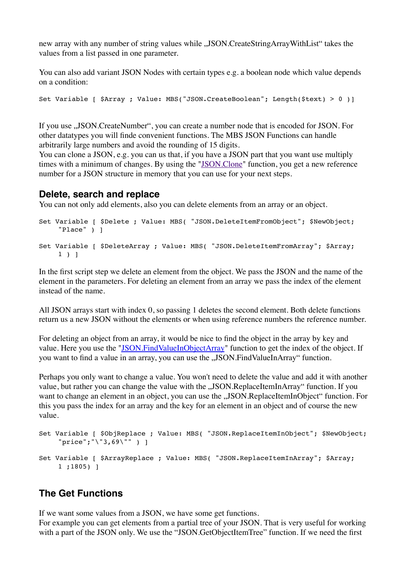new array with any number of string values while "JSON.CreateStringArrayWithList" takes the values from a list passed in one parameter.

You can also add variant JSON Nodes with certain types e.g. a boolean node which value depends on a condition:

Set Variable [ \$Array ; Value: MBS("JSON.CreateBoolean"; Length(\$text) > 0 )]

If you use , JSON.CreateNumber", you can create a number node that is encoded for JSON. For other datatypes you will finde convenient functions. The MBS JSON Functions can handle arbitrarily large numbers and avoid the rounding of 15 digits.

You can clone a JSON, e.g. you can us that, if you have a JSON part that you want use multiply times with a minimum of changes. By using the ["JSON.Clone"](http://www.mbsplugins.eu/JSONClone.shtml) function, you get a new reference number for a JSON structure in memory that you can use for your next steps.

#### **Delete, search and replace**

You can not only add elements, also you can delete elements from an array or an object.

```
Set Variable [ $Delete ; Value: MBS( "JSON.DeleteItemFromObject"; $NewObject;
    "Place" ) ]
Set Variable [ $DeleteArray ; Value: MBS( "JSON.DeleteItemFromArray"; $Array; 
    1 ) ]
```
In the first script step we delete an element from the object. We pass the JSON and the name of the element in the parameters. For deleting an element from an array we pass the index of the element instead of the name.

All JSON arrays start with index 0, so passing 1 deletes the second element. Both delete functions return us a new JSON without the elements or when using reference numbers the reference number.

For deleting an object from an array, it would be nice to find the object in the array by key and value. Here you use the "[JSON.FindValueInObjectArray"](https://www.mbsplugins.eu/JSONFindValueInObjectArray.shtml) function to get the index of the object. If you want to find a value in an array, you can use the ..JSON.FindValueInArray" function.

Perhaps you only want to change a value. You won't need to delete the value and add it with another value, but rather you can change the value with the ..JSON.ReplaceItemInArray tunction. If you want to change an element in an object, you can use the ...JSON.ReplaceItemInObject" function. For this you pass the index for an array and the key for an element in an object and of course the new value.

```
Set Variable [ $ObjReplace ; Value: MBS( "JSON.ReplaceItemInObject"; $NewObject; 
    "price";"\"3,69\"" ) ]
Set Variable [ $ArrayReplace ; Value: MBS( "JSON.ReplaceItemInArray"; $Array; 
    1 ;1805) ]
```
#### **The Get Functions**

If we want some values from a JSON, we have some get functions. For example you can get elements from a partial tree of your JSON. That is very useful for working with a part of the JSON only. We use the "JSON.GetObjectItemTree" function. If we need the first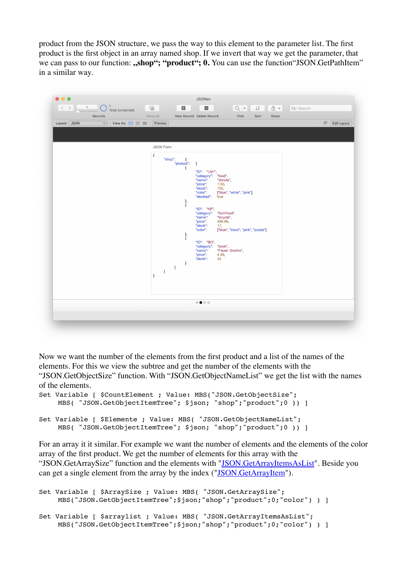product from the JSON structure, we pass the way to this element to the parameter list. The first product is the first object in an array named shop. If we invert that way we get the parameter, that we can pass to our function: **,,shop"; "product"; 0.** You can use the function "JSON.GetPathItem" in a similar way.



Now we want the number of the elements from the first product and a list of the names of the elements. For this we view the subtree and get the number of the elements with the "JSON.GetObjectSize" function. With "JSON.GetObjectNameList" we get the list with the names of the elements.

```
Set Variable [ $CountElement ; Value: MBS("JSON.GetObjectSize";
    MBS( "JSON.GetObjectItemTree"; $json; "shop";"product";0 )) ]
Set Variable [ $Elemente ; Value: MBS( "JSON.GetObjectNameList"; 
    MBS( "JSON.GetObjectItemTree"; $json; "shop";"product";0 )) ]
```
For an array it it similar. For example we want the number of elements and the elements of the color array of the first product. We get the number of elements for this array with the "JSON.GetArraySize" function and the elements with ["JSON.GetArrayItemsAsList"](http://www.mbsplugins.eu/JSONGetArrayItemsAsList.shtml). Beside you can get a single element from the array by the index (["JSON.GetArrayItem](http://www.mbsplugins.eu/JSONGetArrayItem.shtml)").

```
Set Variable [ $ArraySize ; Value: MBS( "JSON.GetArraySize";
    MBS("JSON.GetObjectItemTree";$json;"shop";"product";0;"color") ) ]
Set Variable [ $arraylist ; Value: MBS( "JSON.GetArrayItemsAsList";
    MBS("JSON.GetObjectItemTree";$json;"shop";"product";0;"color") ) ]
```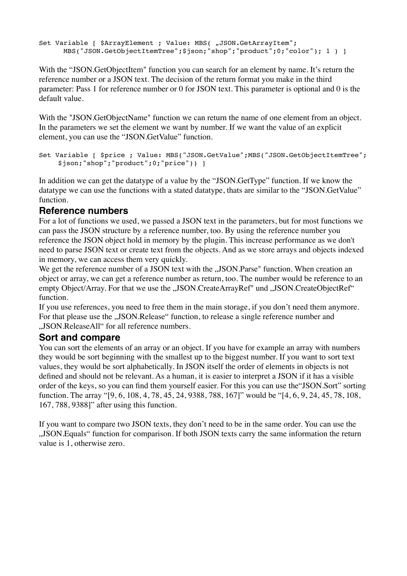Set Variable [ \$ArrayElement ; Value: MBS( "JSON.GetArrayItem"; MBS("JSON.GetObjectItemTree";\$json;"shop";"product";0;"color"); 1) ]

With the "JSON.GetObjectItem" function you can search for an element by name. It's return the reference number or a JSON text. The decision of the return format you make in the third parameter: Pass 1 for reference number or 0 for JSON text. This parameter is optional and 0 is the default value.

With the "JSON.GetObjectName" function we can return the name of one element from an object. In the parameters we set the element we want by number. If we want the value of an explicit element, you can use the "JSON.GetValue" function.

```
Set Variable [ $price ; Value: MBS("JSON.GetValue";MBS("JSON.GetObjectItemTree";
    $json;"shop";"product";0;"price")) ]
```
In addition we can get the datatype of a value by the "JSON.GetType" function. If we know the datatype we can use the functions with a stated datatype, thats are similar to the "JSON.GetValue" function.

### **Reference numbers**

For a lot of functions we used, we passed a JSON text in the parameters, but for most functions we can pass the JSON structure by a reference number, too. By using the reference number you reference the JSON object hold in memory by the plugin. This increase performance as we don't need to parse JSON text or create text from the objects. And as we store arrays and objects indexed in memory, we can access them very quickly.

We get the reference number of a JSON text with the "JSON.Parse" function. When creation an object or array, we can get a reference number as return, too. The number would be reference to an empty Object/Array. For that we use the "JSON.CreateArrayRef" und "JSON.CreateObjectRef" function.

If you use references, you need to free them in the main storage, if you don't need them anymore. For that please use the "JSON.Release" function, to release a single reference number and ..JSON.ReleaseAll" for all reference numbers.

### **Sort and compare**

You can sort the elements of an array or an object. If you have for example an array with numbers they would be sort beginning with the smallest up to the biggest number. If you want to sort text values, they would be sort alphabetically. In JSON itself the order of elements in objects is not defined and should not be relevant. As a human, it is easier to interpret a JSON if it has a visible order of the keys, so you can find them yourself easier. For this you can use the"JSON.Sort" sorting function. The array "[9, 6, 108, 4, 78, 45, 24, 9388, 788, 167]" would be "[4, 6, 9, 24, 45, 78, 108, 167, 788, 9388]" after using this function.

If you want to compare two JSON texts, they don't need to be in the same order. You can use the "JSON.Equals" function for comparison. If both JSON texts carry the same information the return value is 1, otherwise zero.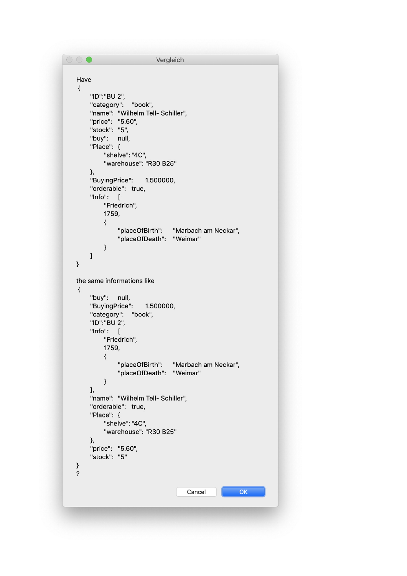```
\circ \circVergleich
   Have
   \{"ID":"BU 2",
        "category": "book",
       "name": "Wilhelm Tell- Schiller",
       "price": "5.60",
        "stock": "5",
        "buy": null,
        "Place": {
            "shelve": "4C",
            "warehouse": "R30 B25"
       },
       "BuyingPrice": 1.500000,
       "orderable": true,
       "Info": ["Friedrich",
            1759,
            \{"placeOfBirth": "Marbach am Neckar",
                 "placeOfDeath": "Weimar"
            \}\, \,\, }
   the same informations like
   \{"buy": null,
       "BuyingPrice":
                        1.500000,
        "category": "book",
       "ID":"BU 2",
       "Info": ["Friedrich",
            1759,
            \{"placeOfBirth":
                                   "Marbach am Neckar",
                 "placeOfDeath": "Weimar"
            \}J,
        "name": "Wilhelm Tell- Schiller",
       "orderable": true,
       "Place": {
            "shelve": "4C",
            "warehouse": "R30 B25"
       },
        "price": "5.60",
        "stock": "5"
   \}\ddot{\cdot}Cancel
                                                         OK
```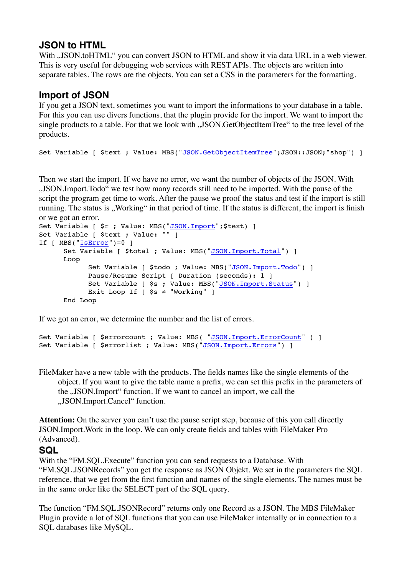# **JSON to HTML**

With ., JSON.toHTML" you can convert JSON to HTML and show it via data URL in a web viewer. This is very useful for debugging web services with REST APIs. The objects are written into separate tables. The rows are the objects. You can set a CSS in the parameters for the formatting.

## **Import of JSON**

If you get a JSON text, sometimes you want to import the informations to your database in a table. For this you can use divers functions, that the plugin provide for the import. We want to import the single products to a table. For that we look with ..JSON.GetObjectItemTree" to the tree level of the products.

```
"JSON.GetObjectItemTree";JSON::JSON;"shop") ]
```
Then we start the import. If we have no error, we want the number of objects of the JSON. With "JSON.Import.Todo" we test how many records still need to be imported. With the pause of the script the program get time to work. After the pause we proof the status and test if the import is still running. The status is "Working" in that period of time. If the status is different, the import is finish or we got an error.

```
Set Variable [ $r ; Value: MBS("JSON. Import"; $text) ]
Set Variable [ $text ; Value: "" ]
If [ MBS("IsError")=0 ]
     "JSON.Import.Total") ]
     Loop
          Set Variable [ $todo ; Value: MBS("JSON. Import. Todo") ]
          Pause/Resume Script [ Duration (seconds): 1 ]
          "JSON.Import.Status") ]
          Exit Loop If [ $s ≠ "Working" ]
     End Loop
```
If we got an error, we determine the number and the list of errors.

```
"JSON.Import.ErrorCount" ) ]
"JSON.Import.Errors") ]
```
FileMaker have a new table with the products. The fields names like the single elements of the object. If you want to give the table name a prefix, we can set this prefix in the parameters of the "JSON.Import" function. If we want to cancel an import, we call the "JSON.Import.Cancel" function.

**Attention:** On the server you can't use the pause script step, because of this you call directly JSON.Import.Work in the loop. We can only create fields and tables with FileMaker Pro (Advanced).

#### **SQL**

With the "FM.SQL.Execute" function you can send requests to a Database. With "FM.SQL.JSONRecords" you get the response as JSON Objekt. We set in the parameters the SQL reference, that we get from the first function and names of the single elements. The names must be in the same order like the SELECT part of the SQL query.

The function "FM.SQL.JSONRecord" returns only one Record as a JSON. The MBS FileMaker Plugin provide a lot of SQL functions that you can use FileMaker internally or in connection to a SQL databases like MySQL.